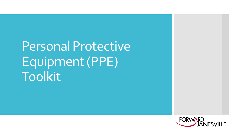# Personal Protective Equipment (PPE) Toolkit

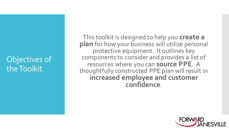# Objectives of the Toolkit

This toolkit is designed to help you **create a plan** for how your business will utilize personal protective equipment. It outlines key components to consider and provides a list of resources where you can **source PPE**. A thoughtfully constructed PPE plan will result in **increased employee and customer confidence**.

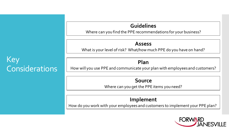### **Guidelines**

Where can you find the PPE recommendations for your business?

#### **Assess**

What is your level of risk? What/how much PPE do you have on hand?

### **Plan**

How will you use PPE and communicate your plan with employees and customers?

#### **Source**

Where can you get the PPE items you need?

### **Implement**

How do you work with your employees and customers to implement your PPE plan?



## Key **Considerations**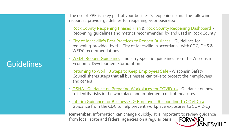# **Guidelines**

The use of PPE is a key part of your business's reopening plan. The following resources provide guidelines for reopening your business:

- [Rock County Reopening Phased Plan](https://www.co.rock.wi.us/images/web_documents/departments/health/rock_county_reopening_phased_plan.pdf) & [Rock County Reopening Dashboard](https://infogram.com/1pe2yrqyn232dxsm6kdj6dpnyzhl9m92mr9?live) -Reopening guidelines and metrics recommended by and used in Rock County
- [City of Janesville's Best Practices to Reopen Business](https://www.ci.janesville.wi.us/Home/ShowDocument?id=9417) Guidelines for reopening provided by the City of Janesville in accordance with CDC, DHS & WEDC recommendations
- [WEDC Reopen Guidelines](https://wedc.org/reopen-guidelines/) Industry-specific guidelines from the Wisconsin Economic Development Corporation
- [Returning to Work: 8 Steps to Keep Employees Safe](https://www.wisafetycouncil.org/wp-content/uploads/sites/2/2020/05/WSC_ReturningToWork_8-Steps.pdf) Wisconsin Safety Council shares steps that all businesses can take to protect their employees and others
- [OSHA's Guidance on Preparing Workplaces for COVID-19](https://www.osha.gov/Publications/OSHA3990.pdf) Guidance on how to identify risks in the workplace and implement control measures
- [Interim Guidance for Businesses & Employers Responding to COVID-19](https://www.cdc.gov/coronavirus/2019-ncov/community/guidance-business-response.html) -Guidance from the CDC to help prevent workplace exposures to COVID-19

**Remember:** Information can change quickly. It is important to review guidance from local, state and federal agencies on a regular basis. FORWARD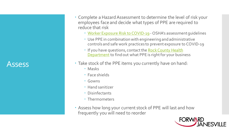### **Assess**

- Complete a Hazard Assessment to determine the level of risk your employees face and decide what types of PPE are required to reduce that risk
	- [Worker Exposure Risk to COVID-19](https://www.osha.gov/Publications/OSHA3993.pdf) OSHA's assessment guidelines
	- Use PPE in combination with engineering and administrative controls and safe work practices to prevent exposure to COVID-19
	- [If you have questions, contact the](https://www.co.rock.wi.us/publichealth) Rock County Health Department to find out what PPE is right for your business
- Take stock of the PPE items you currently have on hand:
	- Masks
	- Face shields
	- Gowns
	- Hand sanitizer
	- Disinfectants
	- Thermometers
- Assess how long your current stock of PPE will last and how frequently you will need to reorder

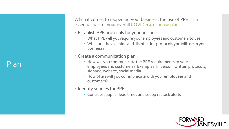Plan

When it comes to reopening your business, the use of PPE is an essential part of your overall [COVID-19 response plan.](https://www.osha.gov/Publications/OSHA3990.pdf)

- Establish PPE protocols for your business
	- What PPE will you require your employees and customers to use?
	- What are the cleaning and disinfecting protocols you will use in your business?
- Create a communication plan
	- How will you communicate the PPE requirements to your employees and customers? Examples: In person, written protocols, signage, website, social media
	- How often will you communicate with your employees and customers?
- Identify sources for PPE
	- Consider supplier lead times and set up restock alerts

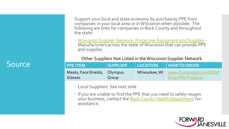# Source

Support your local and state economy by purchasing PPE from companies in your local area or in Wisconsin when possible. The following are links for companies in Rock County and throughout the state:

 [Wisconsin Supplier Network: Protective Equipment and Supplies](https://wisconsinsuppliernetwork.com/wp_wedc_categories/protective-equipment-and-supplies/?q=&aTS%5b0%5d=post_title&aTS%5b1%5d=content:100&aTS%5b2%5d=core_competencies:100&f%5b0%5d=taxonomies.wp_wedc_ppe&f%5b1%5d=county&f%5b10%5d=taxonomies.wp_wedc_certifications&f%5b11%5d=taxonomies.wp_wedc_manufacturing_tier&f%5b2%5d=zip&f%5b3%5d=exports&f%5b4%5d=employees&f%5b5%5d=gross&f%5b6%5d=taxonomies.wp_wedc_regions&f%5b7%5d=taxonomies.wp_wedc_directories&f%5b8%5d=taxonomies.wp_wedc_categories&f%5b9%5d=taxonomies.wp_wedc_ownership&hPP=10&idx=wp_posts_wp_wedc_suppliers&p=0&undefined=true&fR%5btaxonomies.wp_wedc_categories%5d%5b0%5d=Protective%20Equipment%20and%20Supplies) - Manufacturers across the state of Wisconsin that can provide PPE and supplies

#### Other Suppliers Not Listed in the Wisconsin Supplier Network

| l PPE ITEM                              | <b>SUPPLIER</b> | LOCATION | <b>HOW TO ORDER</b>                                        |
|-----------------------------------------|-----------------|----------|------------------------------------------------------------|
| Masks, Face Shields, Olympus<br>Glasses | Group           |          | Milwaukee, WI www.olympusgrp.com/COVI<br>D-19-PPE-Products |

- Local Suppliers: See next slide
- If you are unable to find the PPE that you need to safely reopen your business, contact the [Rock County Health Department](https://www.co.rock.wi.us/publichealth) for assistance.

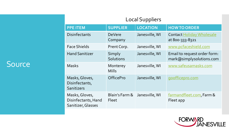## Source

| <b>Local Suppliers</b>                                      |                            |                 |                                                          |  |  |  |
|-------------------------------------------------------------|----------------------------|-----------------|----------------------------------------------------------|--|--|--|
| <b>PPE ITEM</b>                                             | <b>SUPPLIER</b>            | <b>LOCATION</b> | <b>HOW TO ORDER</b>                                      |  |  |  |
| <b>Disinfectants</b>                                        | <b>DeVere</b><br>Company   | Janesville, WI  | Contact Holiday Wholesale<br>at 800-333-8321             |  |  |  |
| <b>Face Shields</b>                                         | Prent Corp.                | Janesville, WI  | www.pcfaceshield.com                                     |  |  |  |
| <b>Hand Sanitizer</b>                                       | Simply<br><b>Solutions</b> | Janesville, WI  | Email to request order form:<br>mark@simplysolutions.com |  |  |  |
| <b>Masks</b>                                                | Monterey<br><b>Mills</b>   | Janesville, WI  | www.safeusamasks.com                                     |  |  |  |
| Masks, Gloves,<br>Disinfectants,<br>Sanitizers              | <b>OfficePro</b>           | Janesville, WI  | goofficepro.com                                          |  |  |  |
| Masks, Gloves,<br>Disinfectants, Hand<br>Sanitizer, Glasses | Blain's Farm &<br>Fleet    | Janesville, WI  | farmandfleet.com, Farm &<br>Fleet app                    |  |  |  |

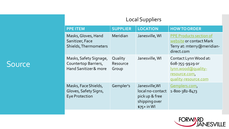### Source

|                 | <b>Local Suppliers</b> |  |              |
|-----------------|------------------------|--|--------------|
| <b>PPE ITEM</b> | SUPPLIER   LOCATION    |  | HOW TO ORDER |

| .                                                                                  | JUI LILIV                    | LULAIIUIT                                                                             |                                                                                                                |
|------------------------------------------------------------------------------------|------------------------------|---------------------------------------------------------------------------------------|----------------------------------------------------------------------------------------------------------------|
| Masks, Gloves, Hand<br>Sanitizer, Face<br>Shields, Thermometers                    | Meridian                     | Janesville, WI                                                                        | <b>PPE Products section of</b><br>website or contact Mark<br>Terry at: mterry@meridian-<br>direct.com          |
| Masks, Safety Signage,<br>Countertop Barriers,<br><b>Hand Sanitizer &amp; more</b> | Quality<br>Resource<br>Group | Janesville, WI                                                                        | Contact Lynn Wood at:<br>608-755-9929 or<br><u>lynn.wood@quality-</u><br>resource.com,<br>quality-resource.com |
| Masks, Face Shields,<br>Gloves, Safety Signs,<br><b>Eye Protection</b>             | Gempler's                    | Janesville, WI<br>local no-contact<br>pick up & free<br>shipping over<br>$$75+$ in WI | Gemplers.com,<br>1-800-382-8473                                                                                |

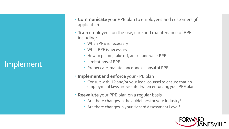# Implement

- **Communicate**your PPE plan to employees and customers (if applicable)
- **Train** employees on the use, care and maintenance of PPE including:
	- When PPE is necessary
	- What PPE is necessary
	- How to put on, take off, adjust and wear PPE
	- Limitations of PPE
	- Proper care, maintenance and disposal of PPE
- **Implement and enforce** your PPE plan
	- Consult with HR and/or your legal counsel to ensure that no employment laws are violated when enforcing your PPE plan
- **Reevalute** your PPE plan on a regular basis
	- Are there changes in the guidelines for your industry?
	- Are there changes in your Hazard Assessment Level?